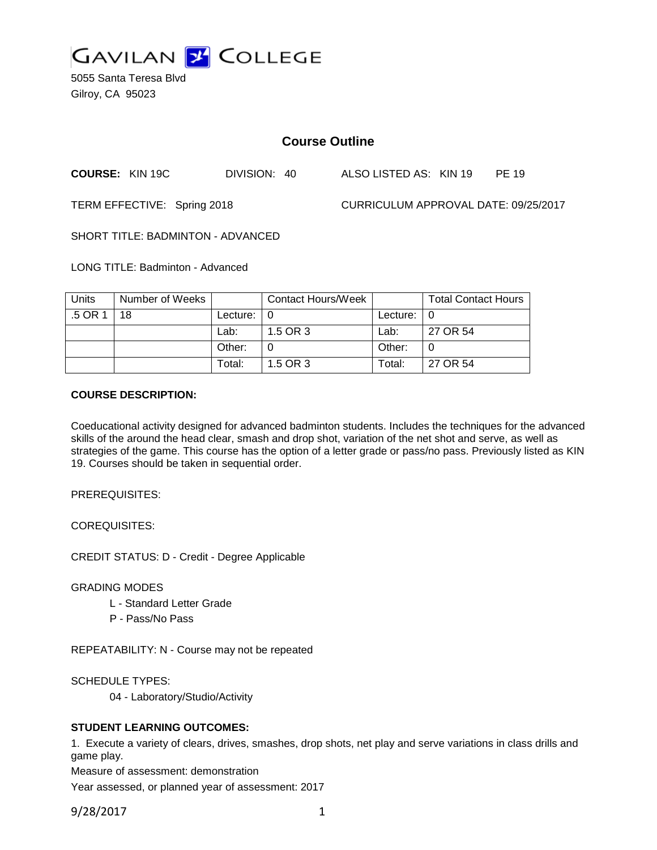

5055 Santa Teresa Blvd Gilroy, CA 95023

# **Course Outline**

**COURSE:** KIN 19C DIVISION: 40 ALSO LISTED AS: KIN 19 PE 19

TERM EFFECTIVE: Spring 2018 CURRICULUM APPROVAL DATE: 09/25/2017

SHORT TITLE: BADMINTON - ADVANCED

LONG TITLE: Badminton - Advanced

| <b>Units</b> | Number of Weeks |               | <b>Contact Hours/Week</b> |                            | <b>Total Contact Hours</b> |
|--------------|-----------------|---------------|---------------------------|----------------------------|----------------------------|
| .5 OR 1      | 18              | Lecture: $ 0$ |                           | Lecture: $\vert 0 \rangle$ |                            |
|              |                 | Lab:          | 1.5 OR 3                  | Lab:                       | 27 OR 54                   |
|              |                 | Other:        |                           | Other:                     |                            |
|              |                 | Total:        | 1.5 OR 3                  | Total:                     | 27 OR 54                   |

# **COURSE DESCRIPTION:**

Coeducational activity designed for advanced badminton students. Includes the techniques for the advanced skills of the around the head clear, smash and drop shot, variation of the net shot and serve, as well as strategies of the game. This course has the option of a letter grade or pass/no pass. Previously listed as KIN 19. Courses should be taken in sequential order.

PREREQUISITES:

COREQUISITES:

CREDIT STATUS: D - Credit - Degree Applicable

GRADING MODES

- L Standard Letter Grade
- P Pass/No Pass

REPEATABILITY: N - Course may not be repeated

SCHEDULE TYPES:

04 - Laboratory/Studio/Activity

# **STUDENT LEARNING OUTCOMES:**

1. Execute a variety of clears, drives, smashes, drop shots, net play and serve variations in class drills and game play.

Measure of assessment: demonstration

Year assessed, or planned year of assessment: 2017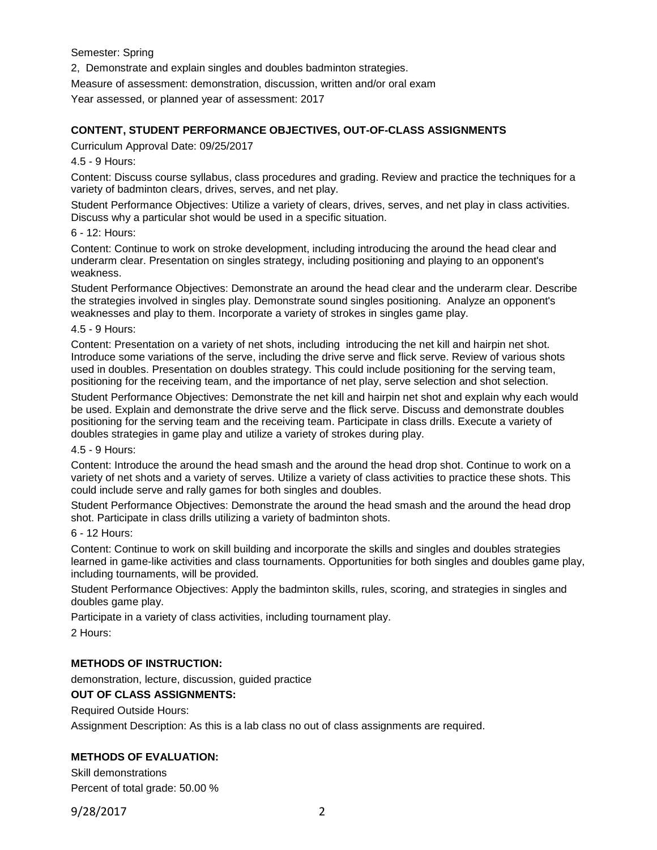Semester: Spring

2, Demonstrate and explain singles and doubles badminton strategies.

Measure of assessment: demonstration, discussion, written and/or oral exam

Year assessed, or planned year of assessment: 2017

## **CONTENT, STUDENT PERFORMANCE OBJECTIVES, OUT-OF-CLASS ASSIGNMENTS**

Curriculum Approval Date: 09/25/2017

4.5 - 9 Hours:

Content: Discuss course syllabus, class procedures and grading. Review and practice the techniques for a variety of badminton clears, drives, serves, and net play.

Student Performance Objectives: Utilize a variety of clears, drives, serves, and net play in class activities. Discuss why a particular shot would be used in a specific situation.

#### 6 - 12: Hours:

Content: Continue to work on stroke development, including introducing the around the head clear and underarm clear. Presentation on singles strategy, including positioning and playing to an opponent's weakness.

Student Performance Objectives: Demonstrate an around the head clear and the underarm clear. Describe the strategies involved in singles play. Demonstrate sound singles positioning. Analyze an opponent's weaknesses and play to them. Incorporate a variety of strokes in singles game play.

4.5 - 9 Hours:

Content: Presentation on a variety of net shots, including introducing the net kill and hairpin net shot. Introduce some variations of the serve, including the drive serve and flick serve. Review of various shots used in doubles. Presentation on doubles strategy. This could include positioning for the serving team, positioning for the receiving team, and the importance of net play, serve selection and shot selection.

Student Performance Objectives: Demonstrate the net kill and hairpin net shot and explain why each would be used. Explain and demonstrate the drive serve and the flick serve. Discuss and demonstrate doubles positioning for the serving team and the receiving team. Participate in class drills. Execute a variety of doubles strategies in game play and utilize a variety of strokes during play.

#### 4.5 - 9 Hours:

Content: Introduce the around the head smash and the around the head drop shot. Continue to work on a variety of net shots and a variety of serves. Utilize a variety of class activities to practice these shots. This could include serve and rally games for both singles and doubles.

Student Performance Objectives: Demonstrate the around the head smash and the around the head drop shot. Participate in class drills utilizing a variety of badminton shots.

#### 6 - 12 Hours:

Content: Continue to work on skill building and incorporate the skills and singles and doubles strategies learned in game-like activities and class tournaments. Opportunities for both singles and doubles game play, including tournaments, will be provided.

Student Performance Objectives: Apply the badminton skills, rules, scoring, and strategies in singles and doubles game play.

Participate in a variety of class activities, including tournament play.

2 Hours:

# **METHODS OF INSTRUCTION:**

demonstration, lecture, discussion, guided practice

#### **OUT OF CLASS ASSIGNMENTS:**

Required Outside Hours:

Assignment Description: As this is a lab class no out of class assignments are required.

# **METHODS OF EVALUATION:**

Skill demonstrations Percent of total grade: 50.00 %

9/28/2017 2